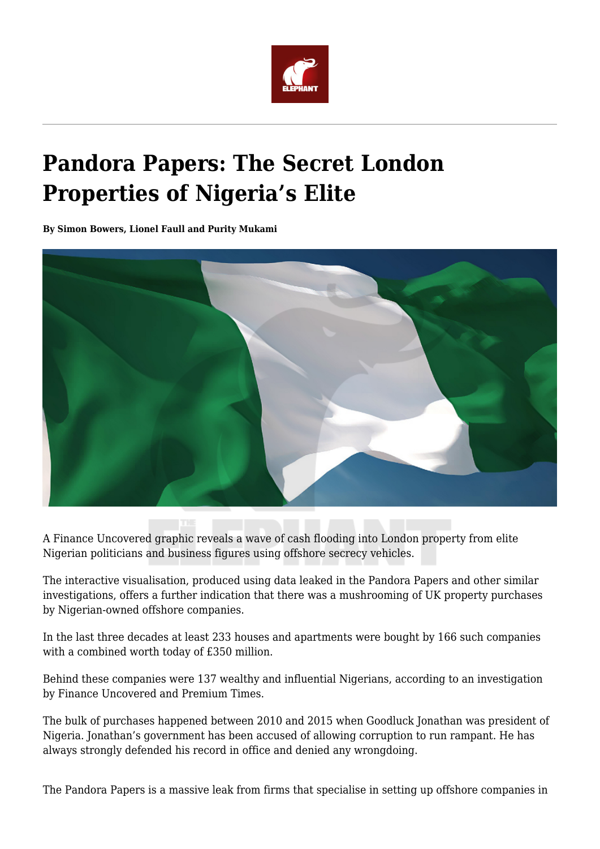

## **Pandora Papers: The Secret London Properties of Nigeria's Elite**

**By Simon Bowers, Lionel Faull and Purity Mukami**



A Finance Uncovered graphic reveals a wave of cash flooding into London property from elite Nigerian politicians and business figures using offshore secrecy vehicles.

The interactive visualisation, produced using data leaked in the Pandora Papers and other similar investigations, offers a further indication that there was a mushrooming of UK property purchases by Nigerian-owned offshore companies.

In the last three decades at least 233 houses and apartments were bought by 166 such companies with a combined worth today of £350 million.

Behind these companies were 137 wealthy and influential Nigerians, according to an investigation by Finance Uncovered and Premium Times.

The bulk of purchases happened between 2010 and 2015 when Goodluck Jonathan was president of Nigeria. Jonathan's government has been accused of allowing corruption to run rampant. He has always strongly defended his record in office and denied any wrongdoing.

The Pandora Papers is a massive leak from firms that specialise in setting up offshore companies in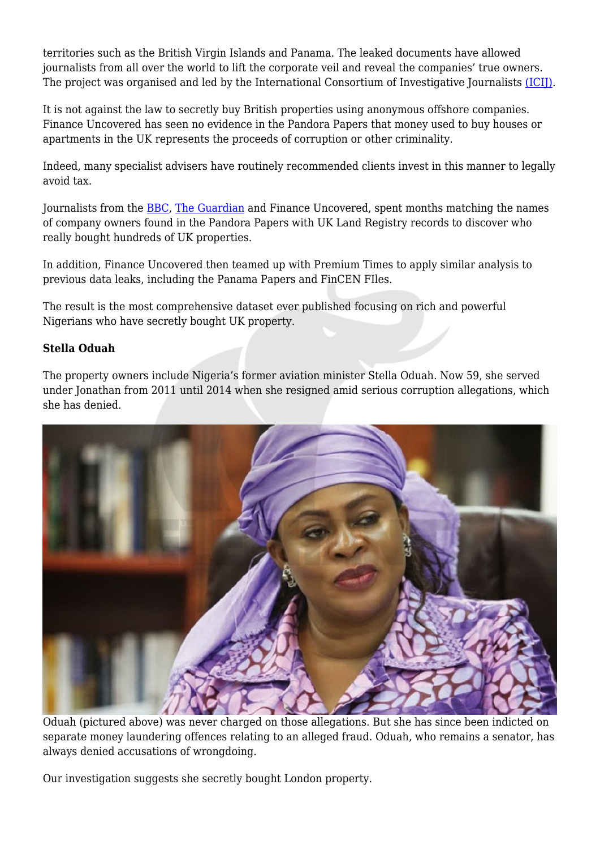territories such as the British Virgin Islands and Panama. The leaked documents have allowed journalists from all over the world to lift the corporate veil and reveal the companies' true owners. The project was organised and led by the International Consortium of Investigative Journalists [\(ICIJ\)](https://www.icij.org/investigations/pandora-papers).

It is not against the law to secretly buy British properties using anonymous offshore companies. Finance Uncovered has seen no evidence in the Pandora Papers that money used to buy houses or apartments in the UK represents the proceeds of corruption or other criminality.

Indeed, many specialist advisers have routinely recommended clients invest in this manner to legally avoid tax.

Journalists from the [BBC,](https://www.bbc.co.uk/news/uk-58792393) [The Guardian](https://www.theguardian.com/news/2021/oct/05/pandora-papers-reveal-true-owners-offshore-held-uk-property-london) and Finance Uncovered, spent months matching the names of company owners found in the Pandora Papers with UK Land Registry records to discover who really bought hundreds of UK properties.

In addition, Finance Uncovered then teamed up with Premium Times to apply similar analysis to previous data leaks, including the Panama Papers and FinCEN FIles.

The result is the most comprehensive dataset ever published focusing on rich and powerful Nigerians who have secretly bought UK property.

## **Stella Oduah**

The property owners include Nigeria's former aviation minister Stella Oduah. Now 59, she served under Jonathan from 2011 until 2014 when she resigned amid serious corruption allegations, which she has denied.



Oduah (pictured above) was never charged on those allegations. But she has since been indicted on separate money laundering offences relating to an alleged fraud. Oduah, who remains a senator, has always denied accusations of wrongdoing.

Our investigation suggests she secretly bought London property.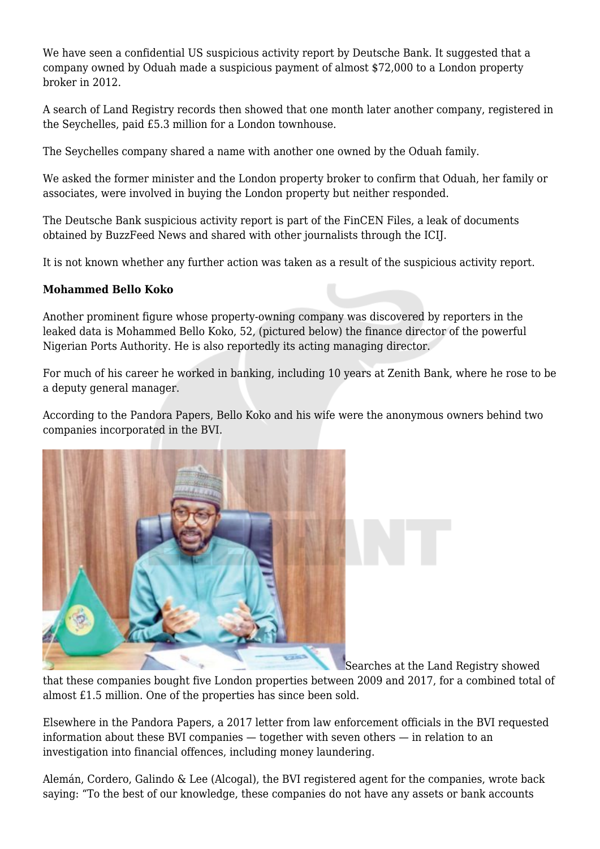We have seen a confidential US suspicious activity report by Deutsche Bank. It suggested that a company owned by Oduah made a suspicious payment of almost \$72,000 to a London property broker in 2012.

A search of Land Registry records then showed that one month later another company, registered in the Seychelles, paid £5.3 million for a London townhouse.

The Seychelles company shared a name with another one owned by the Oduah family.

We asked the former minister and the London property broker to confirm that Oduah, her family or associates, were involved in buying the London property but neither responded.

The Deutsche Bank suspicious activity report is part of the FinCEN Files, a leak of documents obtained by BuzzFeed News and shared with other journalists through the ICIJ.

It is not known whether any further action was taken as a result of the suspicious activity report.

## **Mohammed Bello Koko**

Another prominent figure whose property-owning company was discovered by reporters in the leaked data is Mohammed Bello Koko, 52, (pictured below) the finance director of the powerful Nigerian Ports Authority. He is also reportedly its acting managing director.

For much of his career he worked in banking, including 10 years at Zenith Bank, where he rose to be a deputy general manager.

According to the Pandora Papers, Bello Koko and his wife were the anonymous owners behind two companies incorporated in the BVI.



Searches at the Land Registry showed

that these companies bought five London properties between 2009 and 2017, for a combined total of almost £1.5 million. One of the properties has since been sold.

Elsewhere in the Pandora Papers, a 2017 letter from law enforcement officials in the BVI requested information about these BVI companies — together with seven others — in relation to an investigation into financial offences, including money laundering.

Alemán, Cordero, Galindo & Lee (Alcogal), the BVI registered agent for the companies, wrote back saying: "To the best of our knowledge, these companies do not have any assets or bank accounts